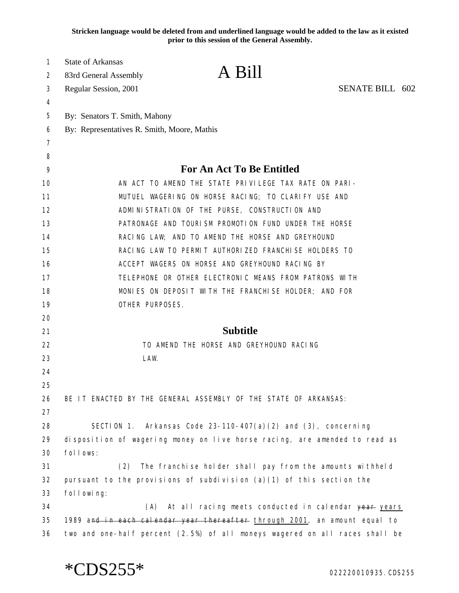**Stricken language would be deleted from and underlined language would be added to the law as it existed prior to this session of the General Assembly.**

| 1  | <b>State of Arkansas</b>                    |                                                                             |  |  |
|----|---------------------------------------------|-----------------------------------------------------------------------------|--|--|
| 2  | 83rd General Assembly                       | A Bill                                                                      |  |  |
| 3  | Regular Session, 2001                       | SENATE BILL 602                                                             |  |  |
| 4  |                                             |                                                                             |  |  |
| 5  | By: Senators T. Smith, Mahony               |                                                                             |  |  |
| 6  | By: Representatives R. Smith, Moore, Mathis |                                                                             |  |  |
| 7  |                                             |                                                                             |  |  |
| 8  |                                             |                                                                             |  |  |
| 9  |                                             | For An Act To Be Entitled                                                   |  |  |
| 10 |                                             | AN ACT TO AMEND THE STATE PRIVILEGE TAX RATE ON PARI-                       |  |  |
| 11 |                                             | MUTUEL WAGERING ON HORSE RACING; TO CLARIFY USE AND                         |  |  |
| 12 |                                             | ADMINISTRATION OF THE PURSE, CONSTRUCTION AND                               |  |  |
| 13 |                                             | PATRONAGE AND TOURISM PROMOTION FUND UNDER THE HORSE                        |  |  |
| 14 |                                             | RACING LAW; AND TO AMEND THE HORSE AND GREYHOUND                            |  |  |
| 15 |                                             | RACING LAW TO PERMIT AUTHORIZED FRANCHISE HOLDERS TO                        |  |  |
| 16 |                                             | ACCEPT WAGERS ON HORSE AND GREYHOUND RACING BY                              |  |  |
| 17 |                                             | TELEPHONE OR OTHER ELECTRONIC MEANS FROM PATRONS WITH                       |  |  |
| 18 |                                             | MONIES ON DEPOSIT WITH THE FRANCHISE HOLDER; AND FOR                        |  |  |
| 19 | OTHER PURPOSES.                             |                                                                             |  |  |
| 20 |                                             |                                                                             |  |  |
| 21 |                                             | <b>Subtitle</b>                                                             |  |  |
| 22 |                                             | TO AMEND THE HORSE AND GREYHOUND RACING                                     |  |  |
| 23 | LAW.                                        |                                                                             |  |  |
| 24 |                                             |                                                                             |  |  |
| 25 |                                             |                                                                             |  |  |
| 26 |                                             | BE IT ENACTED BY THE GENERAL ASSEMBLY OF THE STATE OF ARKANSAS:             |  |  |
| 27 |                                             |                                                                             |  |  |
| 28 |                                             | SECTION 1. Arkansas Code $23-110-407(a)(2)$ and $(3)$ , concerning          |  |  |
| 29 |                                             | disposition of wagering money on live horse racing, are amended to read as  |  |  |
| 30 | follows:                                    |                                                                             |  |  |
| 31 | (2)                                         | The franchise holder shall pay from the amounts withheld                    |  |  |
| 32 |                                             | pursuant to the provisions of subdivision $(a)(1)$ of this section the      |  |  |
| 33 | fol I owi ng:                               |                                                                             |  |  |
| 34 | (A)                                         | At all racing meets conducted in calendar year years                        |  |  |
| 35 |                                             | 1989 and in each calendar year thereafter through 2001, an amount equal to  |  |  |
| 36 |                                             | two and one-half percent (2.5%) of all moneys wagered on all races shall be |  |  |

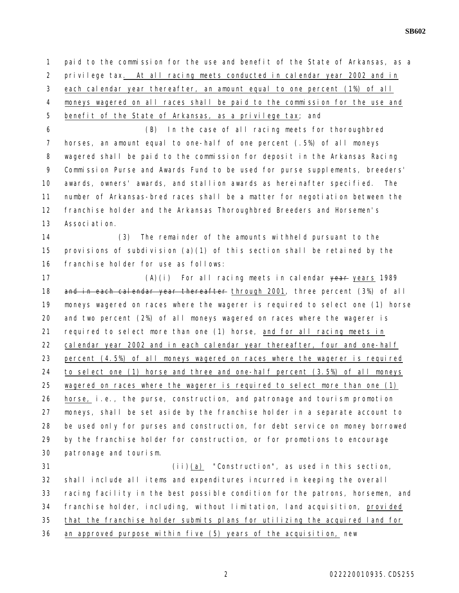**SB602**

 paid to the commission for the use and benefit of the State of Arkansas, as a privilege tax. At all racing meets conducted in calendar year 2002 and in each calendar year thereafter, an amount equal to one percent (1%) of all moneys wagered on all races shall be paid to the commission for the use and benefit of the State of Arkansas, as a privilege tax; and (B) In the case of all racing meets for thoroughbred horses, an amount equal to one-half of one percent (.5%) of all moneys wagered shall be paid to the commission for deposit in the Arkansas Racing Commission Purse and Awards Fund to be used for purse supplements, breeders' awards, owners' awards, and stallion awards as hereinafter specified. The number of Arkansas-bred races shall be a matter for negotiation between the 12 franchise holder and the Arkansas Thoroughbred Breeders and Horsemen's Association. (3) The remainder of the amounts withheld pursuant to the provisions of subdivision (a)(1) of this section shall be retained by the franchise holder for use as follows: 17 (A)(i) For all racing meets in calendar <del>year</del> years 1989 18 and in each calendar year thereafter through 2001, three percent (3%) of all moneys wagered on races where the wagerer is required to select one (1) horse and two percent (2%) of all moneys wagered on races where the wagerer is required to select more than one (1) horse, and for all racing meets in calendar year 2002 and in each calendar year thereafter, four and one-half percent (4.5%) of all moneys wagered on races where the wagerer is required to select one (1) horse and three and one-half percent (3.5%) of all moneys wagered on races where the wagerer is required to select more than one (1) horse, i.e., the purse, construction, and patronage and tourism promotion moneys, shall be set aside by the franchise holder in a separate account to be used only for purses and construction, for debt service on money borrowed by the franchise holder for construction, or for promotions to encourage patronage and tourism. (ii)(a) "Construction", as used in this section, shall include all items and expenditures incurred in keeping the overall racing facility in the best possible condition for the patrons, horsemen, and franchise holder, including, without limitation, land acquisition, provided

that the franchise holder submits plans for utilizing the acquired land for

an approved purpose within five (5) years of the acquisition, new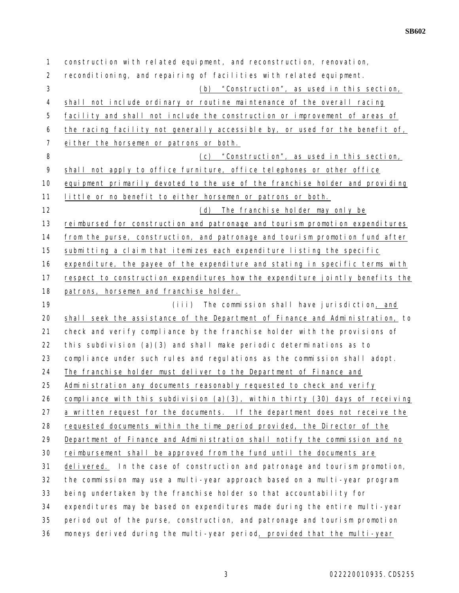construction with related equipment, and reconstruction, renovation, reconditioning, and repairing of facilities with related equipment. (b) "Construction", as used in this section, shall not include ordinary or routine maintenance of the overall racing facility and shall not include the construction or improvement of areas of the racing facility not generally accessible by, or used for the benefit of, either the horsemen or patrons or both. (c) "Construction", as used in this section, 9 shall not apply to office furniture, office telephones or other office equipment primarily devoted to the use of the franchise holder and providing little or no benefit to either horsemen or patrons or both. (d) The franchise holder may only be reimbursed for construction and patronage and tourism promotion expenditures from the purse, construction, and patronage and tourism promotion fund after submitting a claim that itemizes each expenditure listing the specific expenditure, the payee of the expenditure and stating in specific terms with respect to construction expenditures how the expenditure jointly benefits the 18 patrons, horsemen and franchise holder. (iii) The commission shall have jurisdiction, and shall seek the assistance of the Department of Finance and Administration, to check and verify compliance by the franchise holder with the provisions of 22 this subdivision (a)(3) and shall make periodic determinations as to 23 compliance under such rules and regulations as the commission shall adopt. The franchise holder must deliver to the Department of Finance and Administration any documents reasonably requested to check and verify 26 compliance with this subdivision  $(a)(3)$ , within thirty  $(30)$  days of receiving a written request for the documents. If the department does not receive the requested documents within the time period provided, the Director of the Department of Finance and Administration shall notify the commission and no reimbursement shall be approved from the fund until the documents are delivered. In the case of construction and patronage and tourism promotion, the commission may use a multi-year approach based on a multi-year program being undertaken by the franchise holder so that accountability for 34 expenditures may be based on expenditures made during the entire multi-year period out of the purse, construction, and patronage and tourism promotion moneys derived during the multi-year period, provided that the multi-year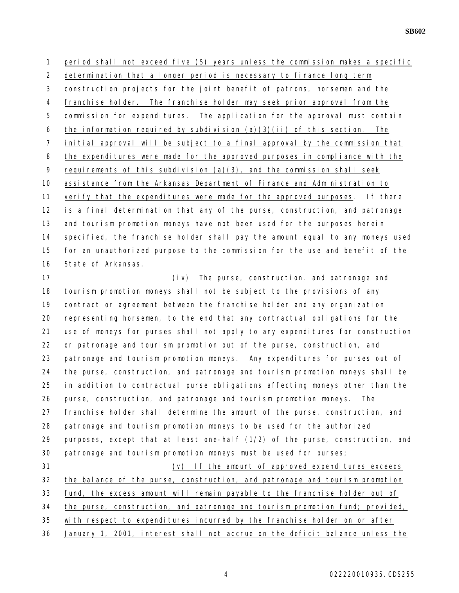**SB602**

1 period shall not exceed five (5) years unless the commission makes a specific determination that a longer period is necessary to finance long term

construction projects for the joint benefit of patrons, horsemen and the

franchise holder. The franchise holder may seek prior approval from the

5 commission for expenditures. The application for the approval must contain

6 the information required by subdivision  $(a)(3)(ii)$  of this section. The

initial approval will be subject to a final approval by the commission that

8 the expenditures were made for the approved purposes in compliance with the

9 requirements of this subdivision  $(a)(3)$ , and the commission shall seek

assistance from the Arkansas Department of Finance and Administration to

 verify that the expenditures were made for the approved purposes. If there is a final determination that any of the purse, construction, and patronage 13 and tourism promotion moneys have not been used for the purposes herein specified, the franchise holder shall pay the amount equal to any moneys used for an unauthorized purpose to the commission for the use and benefit of the State of Arkansas.

 (iv) The purse, construction, and patronage and tourism promotion moneys shall not be subject to the provisions of any contract or agreement between the franchise holder and any organization representing horsemen, to the end that any contractual obligations for the use of moneys for purses shall not apply to any expenditures for construction or patronage and tourism promotion out of the purse, construction, and 23 patronage and tourism promotion moneys. Any expenditures for purses out of the purse, construction, and patronage and tourism promotion moneys shall be in addition to contractual purse obligations affecting moneys other than the purse, construction, and patronage and tourism promotion moneys. The franchise holder shall determine the amount of the purse, construction, and patronage and tourism promotion moneys to be used for the authorized purposes, except that at least one-half (1/2) of the purse, construction, and patronage and tourism promotion moneys must be used for purses; (v) If the amount of approved expenditures exceeds

32 the balance of the purse, construction, and patronage and tourism promotion

fund, the excess amount will remain payable to the franchise holder out of

the purse, construction, and patronage and tourism promotion fund; provided,

with respect to expenditures incurred by the franchise holder on or after

January 1, 2001, interest shall not accrue on the deficit balance unless the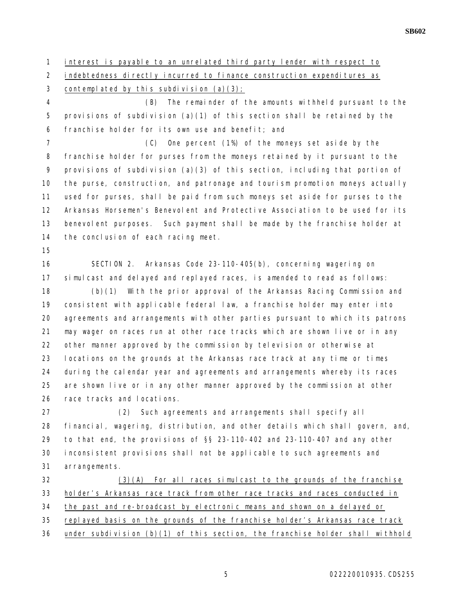interest is payable to an unrelated third party lender with respect to

2 indebtedness directly incurred to finance construction expenditures as

3 contemplated by this subdivision  $(a)(3)$ ;

 (B) The remainder of the amounts withheld pursuant to the provisions of subdivision (a)(1) of this section shall be retained by the franchise holder for its own use and benefit; and

 (C) One percent (1%) of the moneys set aside by the franchise holder for purses from the moneys retained by it pursuant to the provisions of subdivision (a)(3) of this section, including that portion of the purse, construction, and patronage and tourism promotion moneys actually used for purses, shall be paid from such moneys set aside for purses to the Arkansas Horsemen's Benevolent and Protective Association to be used for its benevolent purposes. Such payment shall be made by the franchise holder at 14 the conclusion of each racing meet.

 SECTION 2. Arkansas Code 23-110-405(b), concerning wagering on simulcast and delayed and replayed races, is amended to read as follows:

 (b)(1) With the prior approval of the Arkansas Racing Commission and consistent with applicable federal law, a franchise holder may enter into agreements and arrangements with other parties pursuant to which its patrons may wager on races run at other race tracks which are shown live or in any other manner approved by the commission by television or otherwise at locations on the grounds at the Arkansas race track at any time or times during the calendar year and agreements and arrangements whereby its races are shown live or in any other manner approved by the commission at other race tracks and locations.

 (2) Such agreements and arrangements shall specify all financial, wagering, distribution, and other details which shall govern, and, to that end, the provisions of §§ 23-110-402 and 23-110-407 and any other inconsistent provisions shall not be applicable to such agreements and arrangements.

 (3)(A) For all races simulcast to the grounds of the franchise holder's Arkansas race track from other race tracks and races conducted in the past and re-broadcast by electronic means and shown on a delayed or replayed basis on the grounds of the franchise holder's Arkansas race track under subdivision (b)(1) of this section, the franchise holder shall withhold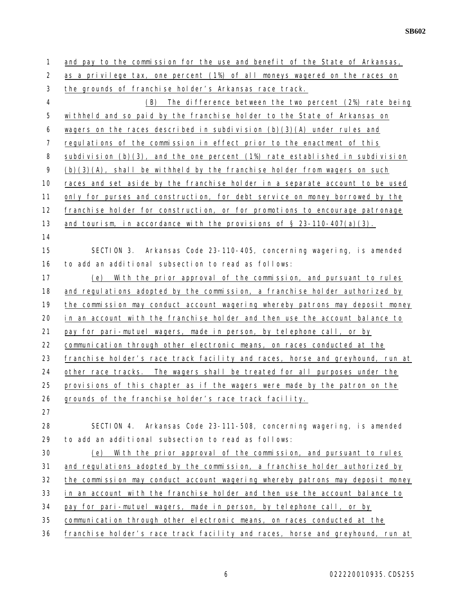| $\mathbf{1}$   | and pay to the commission for the use and benefit of the State of Arkansas,       |
|----------------|-----------------------------------------------------------------------------------|
| $\overline{2}$ | as a privilege tax, one percent (1%) of all moneys wagered on the races on        |
| 3              | the grounds of franchise holder's Arkansas race track.                            |
| 4              | (B)<br>The difference between the two percent (2%) rate being                     |
| 5              | withheld and so paid by the franchise holder to the State of Arkansas on          |
| 6              | wagers on the races described in subdivision $(b)(3)(A)$ under rules and          |
| 7              | regulations of the commission in effect prior to the enactment of this            |
| 8              | subdivision $(b)(3)$ , and the one percent $(1%)$ rate established in subdivision |
| 9              | $(b)(3)(A)$ , shall be withheld by the franchise holder from wagers on such       |
| 10             | races and set aside by the franchise holder in a separate account to be used      |
| 11             | only for purses and construction, for debt service on money borrowed by the       |
| 12             | franchise holder for construction, or for promotions to encourage patronage       |
| 13             | and tourism, in accordance with the provisions of $\S$ 23-110-407(a)(3).          |
| 14             |                                                                                   |
| 15             | SECTION 3. Arkansas Code 23-110-405, concerning wagering, is amended              |
| 16             | to add an additional subsection to read as follows:                               |
| 17             | With the prior approval of the commission, and pursuant to rules<br>(e)           |
| 18             | and regulations adopted by the commission, a franchise holder authorized by       |
|                |                                                                                   |
| 19             | the commission may conduct account wagering whereby patrons may deposit money     |
| 20             | in an account with the franchise holder and then use the account balance to       |
| 21             | pay for pari-mutuel wagers, made in person, by telephone call, or by              |
| 22             | communication through other electronic means, on races conducted at the           |
| 23             | franchise holder's race track facility and races, horse and greyhound, run at     |
| 24             | other race tracks. The wagers shall be treated for all purposes under the         |
| 25             | provisions of this chapter as if the wagers were made by the patron on the        |
| 26             | grounds of the franchise holder's race track facility.                            |
| 27             |                                                                                   |
| 28             | SECTION 4. Arkansas Code 23-111-508, concerning wagering, is amended              |
| 29             | to add an additional subsection to read as follows:                               |
| 30             | With the prior approval of the commission, and pursuant to rules<br>(e)           |
| 31             | and regulations adopted by the commission, a franchise holder authorized by       |
| 32             | the commission may conduct account wagering whereby patrons may deposit money     |
| 33             | in an account with the franchise holder and then use the account balance to       |
| 34             | pay for pari-mutuel wagers, made in person, by telephone call, or by              |
| 35             | communication through other electronic means, on races conducted at the           |